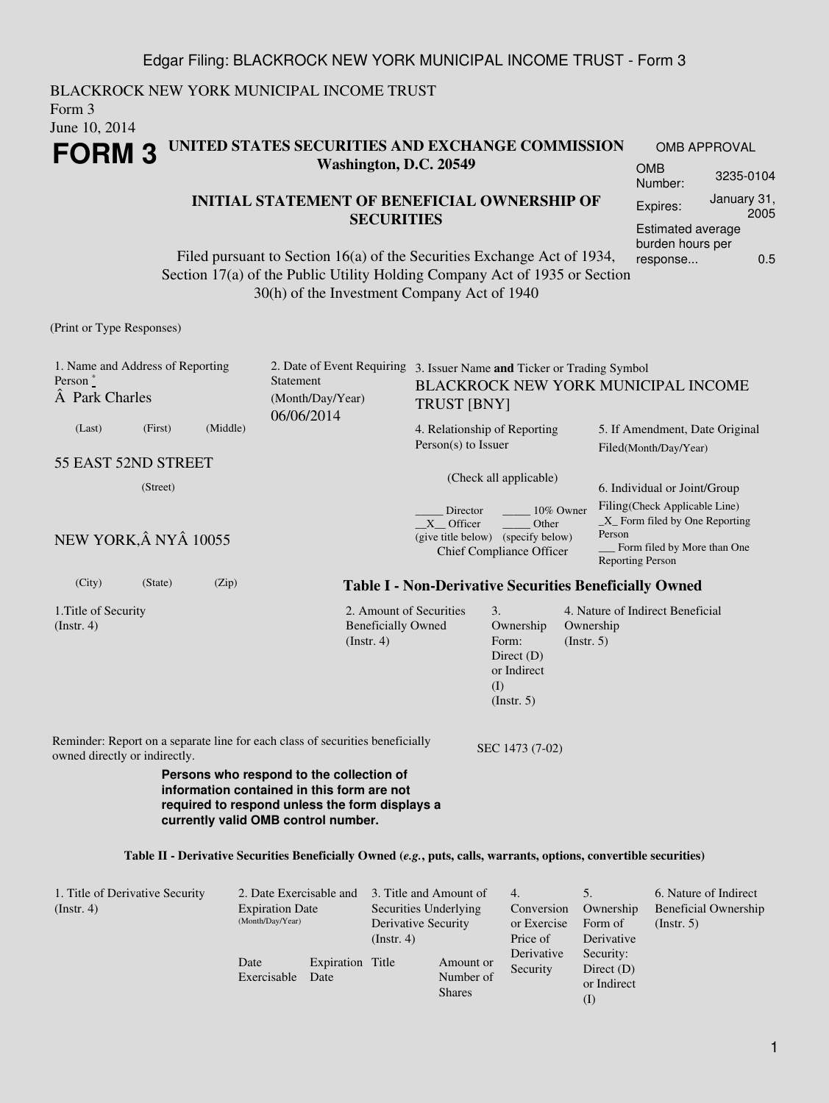BLACKROCK NEW YORK MUNICIPAL INCOME TRUST Form 3 June 10, 2014 **FORM 3 UNITED STATES SECURITIES AND EXCHANGE COMMISSION Washington, D.C. 20549** OMB APPROVAL OMB

### **INITIAL STATEMENT OF BENEFICIAL OWNERSHIP OF SECURITIES**

Filed pursuant to Section 16(a) of the Securities Exchange Act of 1934, Section 17(a) of the Public Utility Holding Company Act of 1935 or Section 30(h) of the Investment Company Act of 1940

(Print or Type Responses)

| 1. Name and Address of Reporting<br>Person <sup>*</sup><br>A Park Charles                                                                                                                                                                                                                             |         |          | Statement<br>(Month/Day/Year)<br>06/06/2014                                   |                                                                                      | 2. Date of Event Requiring 3. Issuer Name and Ticker or Trading Symbol<br>BLACKROCK NEW YORK MUNICIPAL INCOME<br><b>TRUST [BNY]</b> |                                                               |                                                                                                                               |                                                                     |  |  |  |
|-------------------------------------------------------------------------------------------------------------------------------------------------------------------------------------------------------------------------------------------------------------------------------------------------------|---------|----------|-------------------------------------------------------------------------------|--------------------------------------------------------------------------------------|-------------------------------------------------------------------------------------------------------------------------------------|---------------------------------------------------------------|-------------------------------------------------------------------------------------------------------------------------------|---------------------------------------------------------------------|--|--|--|
| (Last)                                                                                                                                                                                                                                                                                                | (First) | (Middle) |                                                                               |                                                                                      | 4. Relationship of Reporting<br>$Person(s)$ to Issuer                                                                               |                                                               |                                                                                                                               | 5. If Amendment, Date Original<br>Filed(Month/Day/Year)             |  |  |  |
| 55 EAST 52ND STREET                                                                                                                                                                                                                                                                                   |         |          |                                                                               |                                                                                      | (Check all applicable)                                                                                                              |                                                               |                                                                                                                               |                                                                     |  |  |  |
| (Street)                                                                                                                                                                                                                                                                                              |         |          |                                                                               |                                                                                      |                                                                                                                                     |                                                               |                                                                                                                               | 6. Individual or Joint/Group                                        |  |  |  |
| NEW YORK, Â NYÂ 10055                                                                                                                                                                                                                                                                                 |         |          |                                                                               |                                                                                      | Director<br>10% Owner<br>X Officer<br>Other<br>(give title below) (specify below)<br>Chief Compliance Officer                       |                                                               | Filing(Check Applicable Line)<br>$X$ Form filed by One Reporting<br>Person<br>Form filed by More than One<br>Reporting Person |                                                                     |  |  |  |
| (City)                                                                                                                                                                                                                                                                                                | (State) | (Zip)    |                                                                               |                                                                                      |                                                                                                                                     | <b>Table I - Non-Derivative Securities Beneficially Owned</b> |                                                                                                                               |                                                                     |  |  |  |
| 1. Title of Security<br>(Instr. 4)                                                                                                                                                                                                                                                                    |         |          |                                                                               | 2. Amount of Securities<br><b>Beneficially Owned</b><br>(Insert. 4)                  | 3.<br>Ownership<br>Form:<br>Direct $(D)$<br>or Indirect<br>(I)<br>(Insert. 5)                                                       | Ownership<br>(Insert. 5)                                      |                                                                                                                               | 4. Nature of Indirect Beneficial                                    |  |  |  |
| owned directly or indirectly.                                                                                                                                                                                                                                                                         |         |          | Reminder: Report on a separate line for each class of securities beneficially |                                                                                      | SEC 1473 (7-02)                                                                                                                     |                                                               |                                                                                                                               |                                                                     |  |  |  |
| Persons who respond to the collection of<br>information contained in this form are not<br>required to respond unless the form displays a<br>currently valid OMB control number.<br>Table II - Derivative Securities Beneficially Owned (e.g., puts, calls, warrants, options, convertible securities) |         |          |                                                                               |                                                                                      |                                                                                                                                     |                                                               |                                                                                                                               |                                                                     |  |  |  |
| 1. Title of Derivative Security<br>(Instr. 4)                                                                                                                                                                                                                                                         |         |          | 2. Date Exercisable and<br><b>Expiration Date</b><br>(Month/Day/Year)         | 3. Title and Amount of<br>Securities Underlying<br>Derivative Security<br>(Instr. 4) | 4.<br>Conversion<br>or Exercise<br>Price of                                                                                         | 5.                                                            | Ownership<br>Form of<br>Derivative                                                                                            | 6. Nature of Indirect<br><b>Beneficial Ownership</b><br>(Insert. 5) |  |  |  |

Date

Exercisable Date

Expiration Title

Derivative Security

Amount or Number of Shares

Security: Direct (D) or Indirect (I)

Estimated average burden hours per response... 0.5